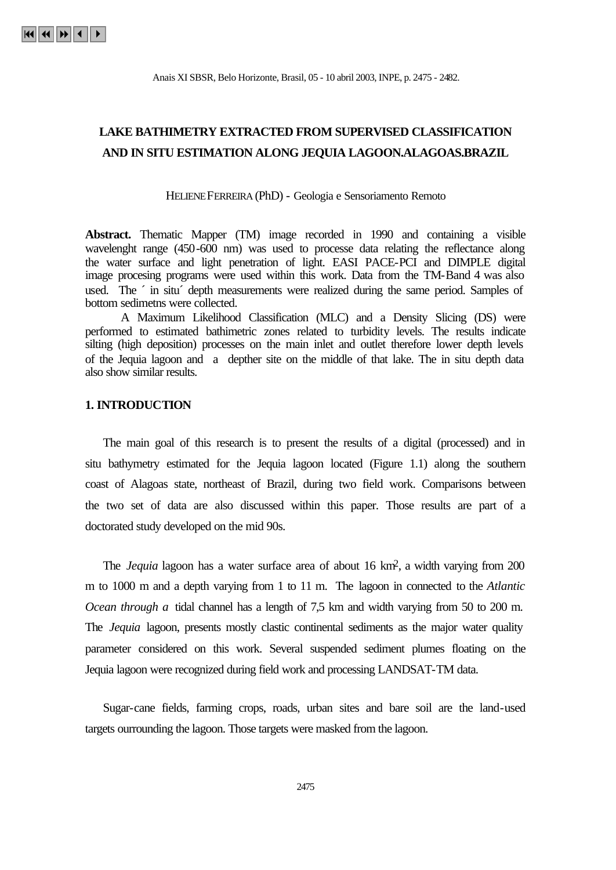# **LAKE BATHIMETRY EXTRACTED FROM SUPERVISED CLASSIFICATION AND IN SITU ESTIMATION ALONG JEQUIA LAGOON.ALAGOAS.BRAZIL**

HELIENE FERREIRA (PhD) - Geologia e Sensoriamento Remoto

**Abstract.** Thematic Mapper (TM) image recorded in 1990 and containing a visible wavelenght range (450-600 nm) was used to processe data relating the reflectance along the water surface and light penetration of light. EASI PACE-PCI and DIMPLE digital image procesing programs were used within this work. Data from the TM-Band 4 was also used. The ´ in situ´ depth measurements were realized during the same period. Samples of bottom sedimetns were collected.

A Maximum Likelihood Classification (MLC) and a Density Slicing (DS) were performed to estimated bathimetric zones related to turbidity levels. The results indicate silting (high deposition) processes on the main inlet and outlet therefore lower depth levels of the Jequia lagoon and a depther site on the middle of that lake. The in situ depth data also show similar results.

#### **1. INTRODUCTION**

The main goal of this research is to present the results of a digital (processed) and in situ bathymetry estimated for the Jequia lagoon located (Figure 1.1) along the southern coast of Alagoas state, northeast of Brazil, during two field work. Comparisons between the two set of data are also discussed within this paper. Those results are part of a doctorated study developed on the mid 90s.

The *Jequia* lagoon has a water surface area of about 16 km2, a width varying from 200 m to 1000 m and a depth varying from 1 to 11 m. The lagoon in connected to the *Atlantic Ocean through a* tidal channel has a length of 7,5 km and width varying from 50 to 200 m. The *Jequia* lagoon, presents mostly clastic continental sediments as the major water quality parameter considered on this work. Several suspended sediment plumes floating on the Jequia lagoon were recognized during field work and processing LANDSAT-TM data.

Sugar-cane fields, farming crops, roads, urban sites and bare soil are the land-used targets ourrounding the lagoon. Those targets were masked from the lagoon.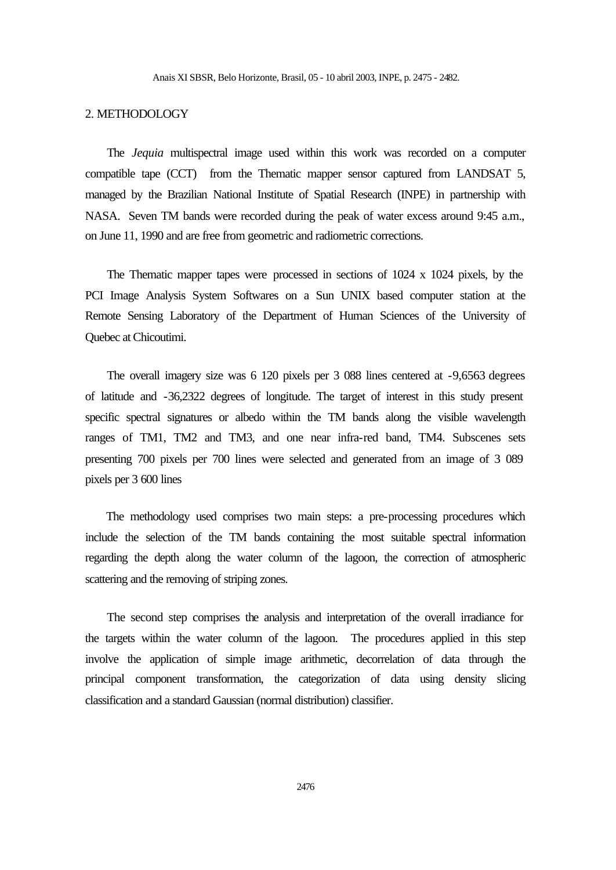## 2. METHODOLOGY

The *Jequia* multispectral image used within this work was recorded on a computer compatible tape (CCT) from the Thematic mapper sensor captured from LANDSAT 5, managed by the Brazilian National Institute of Spatial Research (INPE) in partnership with NASA. Seven TM bands were recorded during the peak of water excess around 9:45 a.m., on June 11, 1990 and are free from geometric and radiometric corrections.

The Thematic mapper tapes were processed in sections of 1024 x 1024 pixels, by the PCI Image Analysis System Softwares on a Sun UNIX based computer station at the Remote Sensing Laboratory of the Department of Human Sciences of the University of Quebec at Chicoutimi.

The overall imagery size was 6 120 pixels per 3 088 lines centered at -9,6563 degrees of latitude and -36,2322 degrees of longitude. The target of interest in this study present specific spectral signatures or albedo within the TM bands along the visible wavelength ranges of TM1, TM2 and TM3, and one near infra-red band, TM4. Subscenes sets presenting 700 pixels per 700 lines were selected and generated from an image of 3 089 pixels per 3 600 lines

The methodology used comprises two main steps: a pre-processing procedures which include the selection of the TM bands containing the most suitable spectral information regarding the depth along the water column of the lagoon, the correction of atmospheric scattering and the removing of striping zones.

The second step comprises the analysis and interpretation of the overall irradiance for the targets within the water column of the lagoon. The procedures applied in this step involve the application of simple image arithmetic, decorrelation of data through the principal component transformation, the categorization of data using density slicing classification and a standard Gaussian (normal distribution) classifier.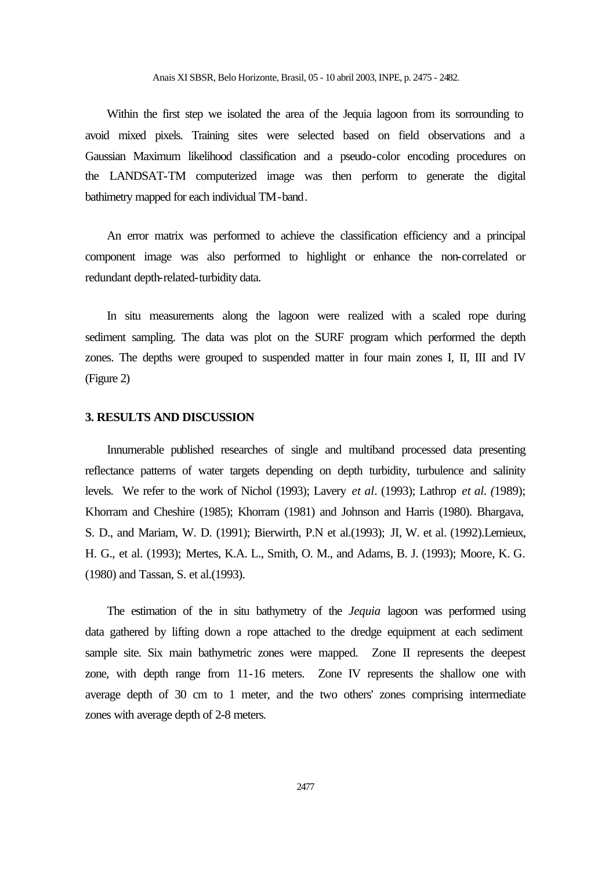Within the first step we isolated the area of the Jequia lagoon from its sorrounding to avoid mixed pixels. Training sites were selected based on field observations and a Gaussian Maximum likelihood classification and a pseudo-color encoding procedures on the LANDSAT-TM computerized image was then perform to generate the digital bathimetry mapped for each individual TM-band.

An error matrix was performed to achieve the classification efficiency and a principal component image was also performed to highlight or enhance the non-correlated or redundant depth-related-turbidity data.

In situ measurements along the lagoon were realized with a scaled rope during sediment sampling. The data was plot on the SURF program which performed the depth zones. The depths were grouped to suspended matter in four main zones I, II, III and IV (Figure 2)

#### **3. RESULTS AND DISCUSSION**

Innumerable published researches of single and multiband processed data presenting reflectance patterns of water targets depending on depth turbidity, turbulence and salinity levels. We refer to the work of Nichol (1993); Lavery *et al*. (1993); Lathrop *et al. (*1989); Khorram and Cheshire (1985); Khorram (1981) and Johnson and Harris (1980). Bhargava, S. D., and Mariam, W. D. (1991); Bierwirth, P.N et al.(1993); JI, W. et al. (1992).Lemieux, H. G., et al. (1993); Mertes, K.A. L., Smith, O. M., and Adams, B. J. (1993); Moore, K. G. (1980) and Tassan, S. et al.(1993).

The estimation of the in situ bathymetry of the *Jequia* lagoon was performed using data gathered by lifting down a rope attached to the dredge equipment at each sediment sample site. Six main bathymetric zones were mapped. Zone II represents the deepest zone, with depth range from 11-16 meters. Zone IV represents the shallow one with average depth of 30 cm to 1 meter, and the two others' zones comprising intermediate zones with average depth of 2-8 meters.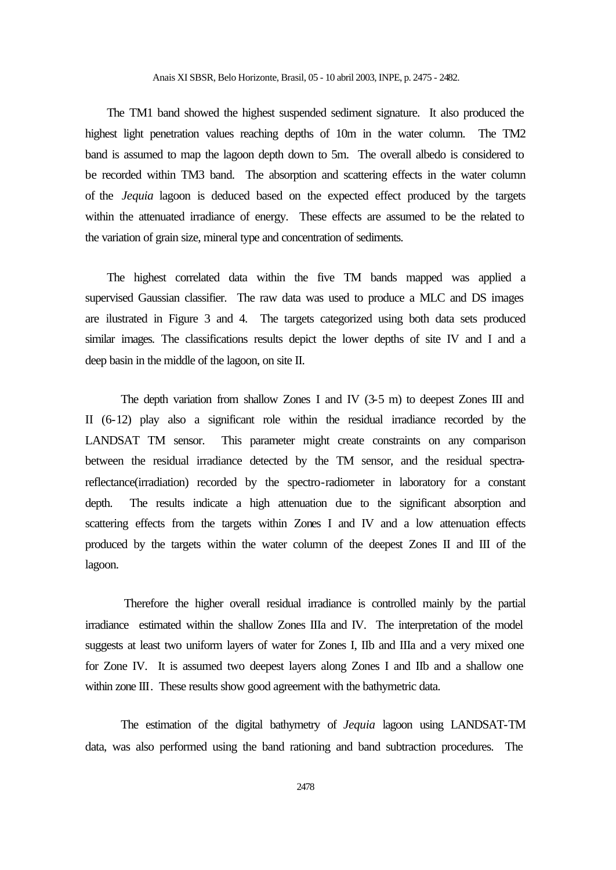The TM1 band showed the highest suspended sediment signature. It also produced the highest light penetration values reaching depths of 10m in the water column. The TM2 band is assumed to map the lagoon depth down to 5m. The overall albedo is considered to be recorded within TM3 band. The absorption and scattering effects in the water column of the *Jequia* lagoon is deduced based on the expected effect produced by the targets within the attenuated irradiance of energy. These effects are assumed to be the related to the variation of grain size, mineral type and concentration of sediments.

The highest correlated data within the five TM bands mapped was applied a supervised Gaussian classifier. The raw data was used to produce a MLC and DS images are ilustrated in Figure 3 and 4. The targets categorized using both data sets produced similar images. The classifications results depict the lower depths of site IV and I and a deep basin in the middle of the lagoon, on site II.

The depth variation from shallow Zones I and IV (3-5 m) to deepest Zones III and II (6-12) play also a significant role within the residual irradiance recorded by the LANDSAT TM sensor. This parameter might create constraints on any comparison between the residual irradiance detected by the TM sensor, and the residual spectrareflectance(irradiation) recorded by the spectro-radiometer in laboratory for a constant depth. The results indicate a high attenuation due to the significant absorption and scattering effects from the targets within Zones I and IV and a low attenuation effects produced by the targets within the water column of the deepest Zones II and III of the lagoon.

 Therefore the higher overall residual irradiance is controlled mainly by the partial irradiance estimated within the shallow Zones IIIa and IV. The interpretation of the model suggests at least two uniform layers of water for Zones I, IIb and IIIa and a very mixed one for Zone IV. It is assumed two deepest layers along Zones I and IIb and a shallow one within zone III. These results show good agreement with the bathymetric data.

The estimation of the digital bathymetry of *Jequia* lagoon using LANDSAT-TM data, was also performed using the band rationing and band subtraction procedures. The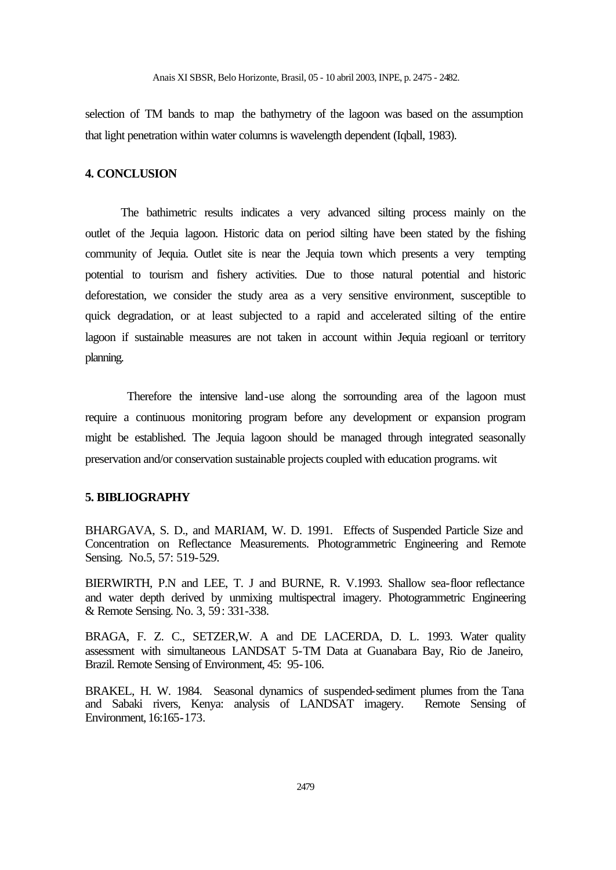selection of TM bands to map the bathymetry of the lagoon was based on the assumption that light penetration within water columns is wavelength dependent (Iqball, 1983).

## **4. CONCLUSION**

The bathimetric results indicates a very advanced silting process mainly on the outlet of the Jequia lagoon. Historic data on period silting have been stated by the fishing community of Jequia. Outlet site is near the Jequia town which presents a very tempting potential to tourism and fishery activities. Due to those natural potential and historic deforestation, we consider the study area as a very sensitive environment, susceptible to quick degradation, or at least subjected to a rapid and accelerated silting of the entire lagoon if sustainable measures are not taken in account within Jequia regioanl or territory planning.

 Therefore the intensive land-use along the sorrounding area of the lagoon must require a continuous monitoring program before any development or expansion program might be established. The Jequia lagoon should be managed through integrated seasonally preservation and/or conservation sustainable projects coupled with education programs. wit

## **5. BIBLIOGRAPHY**

BHARGAVA, S. D., and MARIAM, W. D. 1991. Effects of Suspended Particle Size and Concentration on Reflectance Measurements. Photogrammetric Engineering and Remote Sensing. No.5, 57: 519-529.

BIERWIRTH, P.N and LEE, T. J and BURNE, R. V.1993. Shallow sea-floor reflectance and water depth derived by unmixing multispectral imagery. Photogrammetric Engineering & Remote Sensing. No. 3, 59: 331-338.

BRAGA, F. Z. C., SETZER,W. A and DE LACERDA, D. L. 1993. Water quality assessment with simultaneous LANDSAT 5-TM Data at Guanabara Bay, Rio de Janeiro, Brazil. Remote Sensing of Environment, 45: 95-106.

BRAKEL, H. W. 1984. Seasonal dynamics of suspended-sediment plumes from the Tana and Sabaki rivers, Kenya: analysis of LANDSAT imagery. Remote Sensing of Environment, 16:165-173.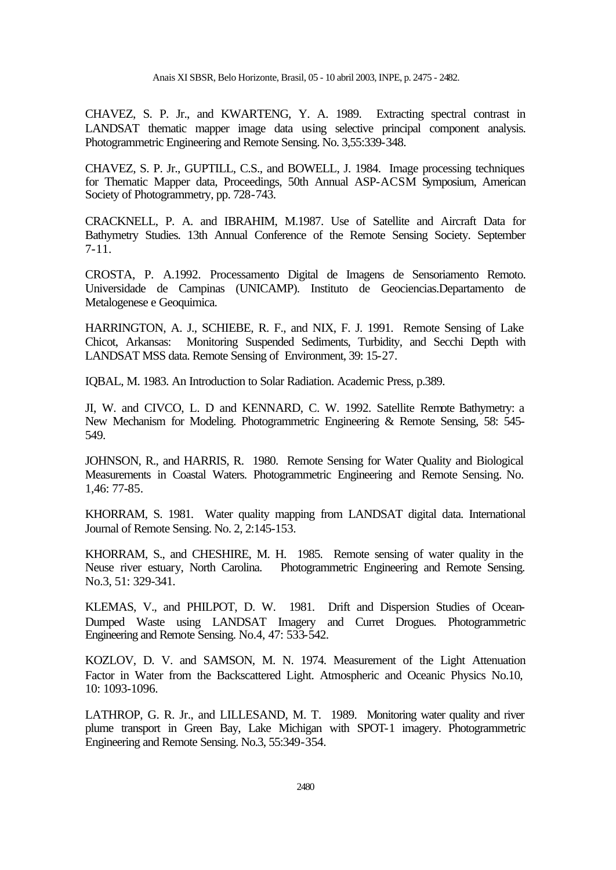CHAVEZ, S. P. Jr., and KWARTENG, Y. A. 1989. Extracting spectral contrast in LANDSAT thematic mapper image data using selective principal component analysis. Photogrammetric Engineering and Remote Sensing. No. 3,55:339-348.

CHAVEZ, S. P. Jr., GUPTILL, C.S., and BOWELL, J. 1984. Image processing techniques for Thematic Mapper data, Proceedings, 50th Annual ASP-ACSM Symposium, American Society of Photogrammetry, pp. 728-743.

CRACKNELL, P. A. and IBRAHIM, M.1987. Use of Satellite and Aircraft Data for Bathymetry Studies. 13th Annual Conference of the Remote Sensing Society. September 7-11.

CROSTA, P. A.1992. Processamento Digital de Imagens de Sensoriamento Remoto. Universidade de Campinas (UNICAMP). Instituto de Geociencias.Departamento de Metalogenese e Geoquimica.

HARRINGTON, A. J., SCHIEBE, R. F., and NIX, F. J. 1991. Remote Sensing of Lake Chicot, Arkansas: Monitoring Suspended Sediments, Turbidity, and Secchi Depth with LANDSAT MSS data. Remote Sensing of Environment, 39: 15-27.

IQBAL, M. 1983. An Introduction to Solar Radiation. Academic Press, p.389.

JI, W. and CIVCO, L. D and KENNARD, C. W. 1992. Satellite Remote Bathymetry: a New Mechanism for Modeling. Photogrammetric Engineering & Remote Sensing, 58: 545- 549.

JOHNSON, R., and HARRIS, R. 1980. Remote Sensing for Water Quality and Biological Measurements in Coastal Waters. Photogrammetric Engineering and Remote Sensing. No. 1,46: 77-85.

KHORRAM, S. 1981. Water quality mapping from LANDSAT digital data. International Journal of Remote Sensing. No. 2, 2:145-153.

KHORRAM, S., and CHESHIRE, M. H. 1985. Remote sensing of water quality in the Neuse river estuary, North Carolina. Photogrammetric Engineering and Remote Sensing. No.3, 51: 329-341.

KLEMAS, V., and PHILPOT, D. W. 1981. Drift and Dispersion Studies of Ocean-Dumped Waste using LANDSAT Imagery and Curret Drogues. Photogrammetric Engineering and Remote Sensing. No.4, 47: 533-542.

KOZLOV, D. V. and SAMSON, M. N. 1974. Measurement of the Light Attenuation Factor in Water from the Backscattered Light. Atmospheric and Oceanic Physics No.10, 10: 1093-1096.

LATHROP, G. R. Jr., and LILLESAND, M. T. 1989. Monitoring water quality and river plume transport in Green Bay, Lake Michigan with SPOT-1 imagery. Photogrammetric Engineering and Remote Sensing. No.3, 55:349-354.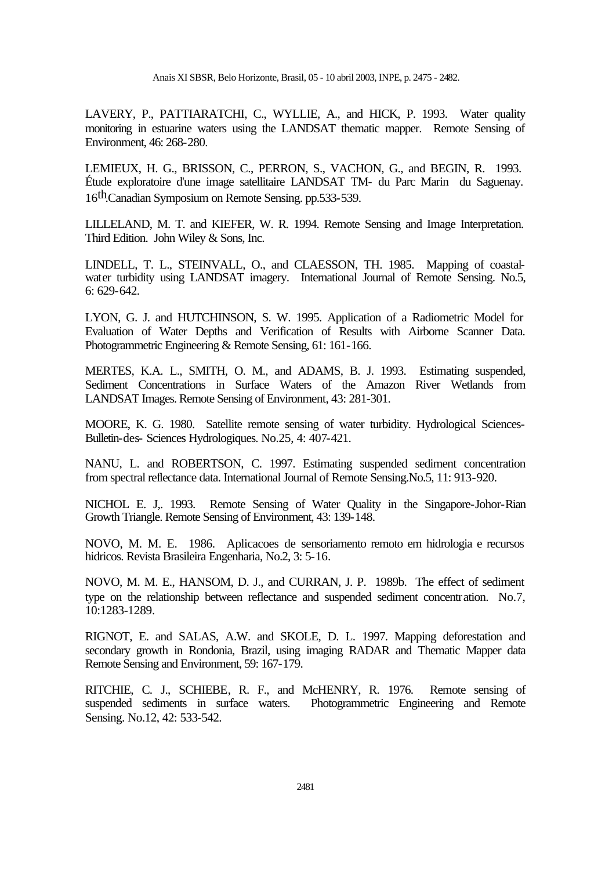LAVERY, P., PATTIARATCHI, C., WYLLIE, A., and HICK, P. 1993. Water quality monitoring in estuarine waters using the LANDSAT thematic mapper. Remote Sensing of Environment, 46: 268-280.

LEMIEUX, H. G., BRISSON, C., PERRON, S., VACHON, G., and BEGIN, R. 1993. Étude exploratoire d'une image satellitaire LANDSAT TM- du Parc Marin du Saguenay. 16th.Canadian Symposium on Remote Sensing. pp.533-539.

LILLELAND, M. T. and KIEFER, W. R. 1994. Remote Sensing and Image Interpretation. Third Edition. John Wiley & Sons, Inc.

LINDELL, T. L., STEINVALL, O., and CLAESSON, TH. 1985. Mapping of coastalwater turbidity using LANDSAT imagery. International Journal of Remote Sensing. No.5, 6: 629-642.

LYON, G. J. and HUTCHINSON, S. W. 1995. Application of a Radiometric Model for Evaluation of Water Depths and Verification of Results with Airborne Scanner Data. Photogrammetric Engineering & Remote Sensing, 61: 161-166.

MERTES, K.A. L., SMITH, O. M., and ADAMS, B. J. 1993. Estimating suspended, Sediment Concentrations in Surface Waters of the Amazon River Wetlands from LANDSAT Images. Remote Sensing of Environment, 43: 281-301.

MOORE, K. G. 1980. Satellite remote sensing of water turbidity. Hydrological Sciences-Bulletin-des- Sciences Hydrologiques. No.25, 4: 407-421.

NANU, L. and ROBERTSON, C. 1997. Estimating suspended sediment concentration from spectral reflectance data. International Journal of Remote Sensing.No.5, 11: 913-920.

NICHOL E. J,. 1993. Remote Sensing of Water Quality in the Singapore-Johor-Rian Growth Triangle. Remote Sensing of Environment, 43: 139-148.

NOVO, M. M. E. 1986. Aplicacoes de sensoriamento remoto em hidrologia e recursos hidricos. Revista Brasileira Engenharia, No.2, 3: 5-16.

NOVO, M. M. E., HANSOM, D. J., and CURRAN, J. P. 1989b. The effect of sediment type on the relationship between reflectance and suspended sediment concentration. No.7, 10:1283-1289.

RIGNOT, E. and SALAS, A.W. and SKOLE, D. L. 1997. Mapping deforestation and secondary growth in Rondonia, Brazil, using imaging RADAR and Thematic Mapper data Remote Sensing and Environment, 59: 167-179.

RITCHIE, C. J., SCHIEBE, R. F., and McHENRY, R. 1976. Remote sensing of suspended sediments in surface waters. Photogrammetric Engineering and Remote Sensing. No.12, 42: 533-542.